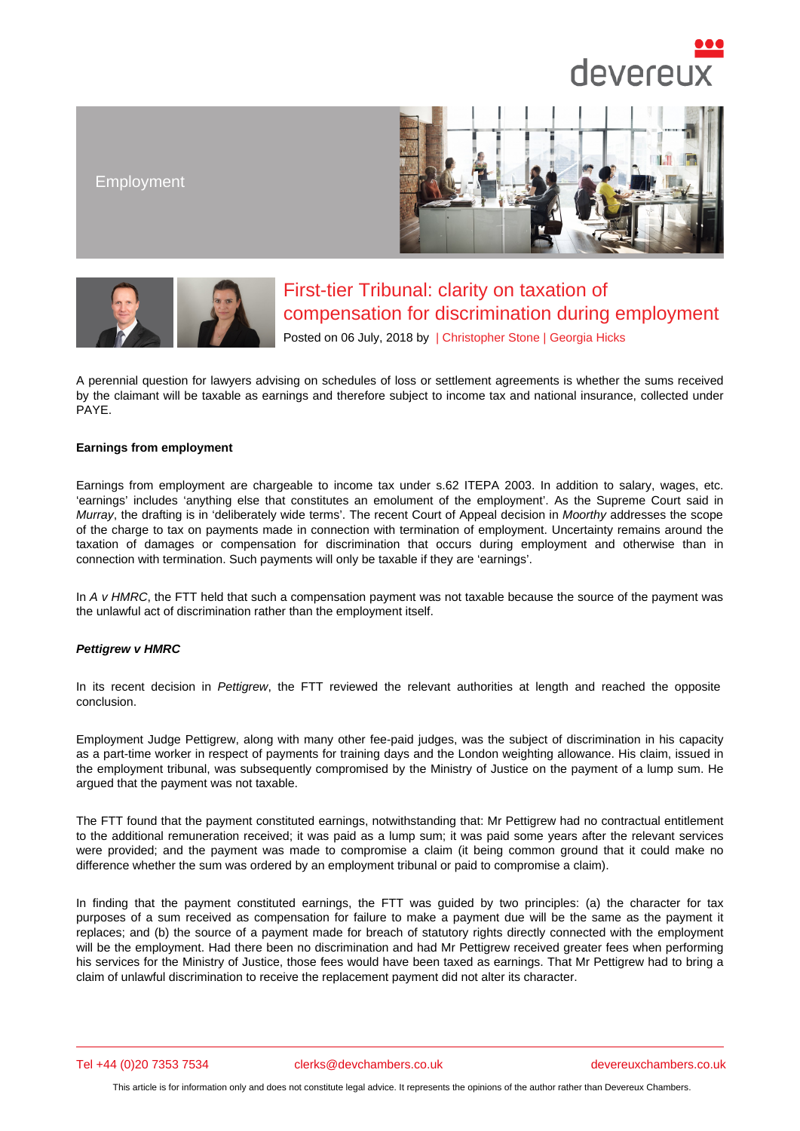## Employment

## First-tier Tribunal: clarity on taxation of compensation for discrimination during employment

Posted on 06 July, 2018 by | Christopher Stone | Georgia Hicks

A perennial question for lawyers advising on schedules of loss or settlement agreements is whether the sums received by the claimant will be taxable as earnings and therefore subject t[o income tax and n](/barristers/profile/christopher-stone)a[tional insuranc](/barristers/profile/georgia-hicks)e, collected under PAYE.

## Earnings from employment

Earnings from employment are chargeable to income tax under s.62 ITEPA 2003. In addition to salary, wages, etc. 'earnings' includes 'anything else that constitutes an emolument of the employment'. As the Supreme Court said in Murray, the drafting is in 'deliberately wide terms'. The recent Court of Appeal decision in Moorthy addresses the scope of the charge to tax on payments made in connection with termination of employment. Uncertainty remains around the taxation of damages or compensation for discrimination that occurs during employment and otherwise than in connection with termination. Such payments will only be taxable if they are 'earnings'.

In A v HMRC, the FTT held that such a compensation payment was not taxable because the source of the payment was the unlawful act of discrimination rather than the employment itself.

## Pettigrew v HMRC

In its recent decision in Pettigrew, the FTT reviewed the relevant authorities at length and reached the opposite conclusion.

Employment Judge Pettigrew, along with many other fee-paid judges, was the subject of discrimination in his capacity as a part-time worker in r[espect of p](http://financeandtax.decisions.tribunals.gov.uk//judgmentfiles/j10435/TC06473.pdf)ayments for training days and the London weighting allowance. His claim, issued in the employment tribunal, was subsequently compromised by the Ministry of Justice on the payment of a lump sum. He argued that the payment was not taxable.

The FTT found that the payment constituted earnings, notwithstanding that: Mr Pettigrew had no contractual entitlement to the additional remuneration received; it was paid as a lump sum; it was paid some years after the relevant services were provided; and the payment was made to compromise a claim (it being common ground that it could make no difference whether the sum was ordered by an employment tribunal or paid to compromise a claim).

In finding that the payment constituted earnings, the FTT was guided by two principles: (a) the character for tax purposes of a sum received as compensation for failure to make a payment due will be the same as the payment it replaces; and (b) the source of a payment made for breach of statutory rights directly connected with the employment will be the employment. Had there been no discrimination and had Mr Pettigrew received greater fees when performing his services for the Ministry of Justice, those fees would have been taxed as earnings. That Mr Pettigrew had to bring a claim of unlawful discrimination to receive the replacement payment did not alter its character.